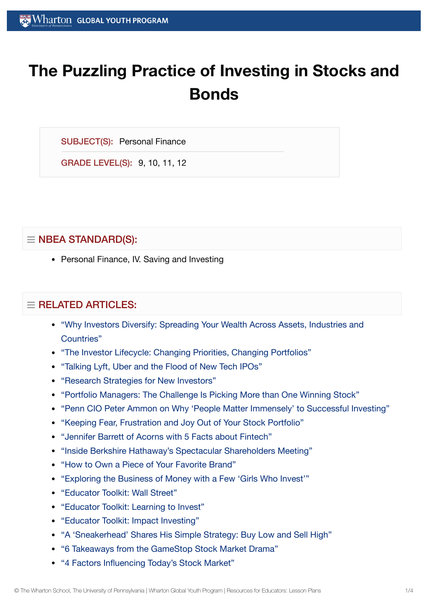# **The Puzzling Practice of Investing in Stocks and Bonds**

SUBJECT(S): Personal Finance

GRADE LEVEL(S): 9, 10, 11, 12

## $\equiv$  NBEA STANDARD(S):

• Personal Finance, IV. Saving and Investing

## $=$  RELATED ARTICLES:

- ["Why Investors Diversify:](https://globalyouth.wharton.upenn.edu/articles/why-investors-diversify-spreading-your-wealth-across-assets-industries-and-countries/) Spreading Your Wealth Across Assets, Industries and Countries"
- "The Investor Lifecycle: Changing Priorities, Changing [Portfolios"](https://globalyouth.wharton.upenn.edu/articles/the-investor-lifecycle-changing-priorities-changing-portfolios/)
- ["Talking](https://globalyouth.wharton.upenn.edu/articles/tech-ipos-worth-investment/) Lyft, Uber and the Flood of New Tech IPOs"
- "Research [Strategies for](https://globalyouth.wharton.upenn.edu/articles/research-strategies-for-new-investors/) New Investors"
- "Portfolio [Managers:](https://globalyouth.wharton.upenn.edu/articles/portfolio-managers-the-challenge-is-making-more-than-one-winning-stock-pick/) The Challenge Is Picking More than One Winning Stock"
- "Penn CIO Peter Ammon on [Why 'People](https://globalyouth.wharton.upenn.edu/articles/penn-peter-ammon-successful-investing/) Matter Immensely' to Successful Investing"
- "Keeping Fear, [Frustration](https://globalyouth.wharton.upenn.edu/articles/keeping-fear-frustration-joy-out-of-stock-portfolio/) and Joy Out of Your Stock Portfolio"
- "Jennifer Barrett of Acorns with 5 [Facts about](https://globalyouth.wharton.upenn.edu/articles/acorns-jennifer-barrett-5-facts-fintech/) Fintech"
- "Inside Berkshire [Hathaway's Spectacular](https://globalyouth.wharton.upenn.edu/articles/inside-berkshire-hathaway-shareholder-meeting/) Shareholders Meeting"
- "How to Own a Piece of Your [Favorite](https://globalyouth.wharton.upenn.edu/articles/own-brands-you-love/) Brand"
- "Exploring the [Business of](https://globalyouth.wharton.upenn.edu/articles/exploring-business-money-girls-invest/) Money with a Few 'Girls Who Invest'"
- ["Educator](https://globalyouth.wharton.upenn.edu/articles/educator-toolkit-wall-street/) Toolkit: Wall Street"
- ["Educator](https://globalyouth.wharton.upenn.edu/articles/october-2018-educator-toolkit-learning-invest/) Toolkit: Learning to Invest"
- ["Educator](https://globalyouth.wharton.upenn.edu/articles/november-2017-impact-investing/) Toolkit: Impact Investing"
- "A 'Sneakerhead' [Shares His Simple](https://globalyouth.wharton.upenn.edu/articles/sneakerheads-simple-strategy-buy-low-sell-high/) Strategy: Buy Low and Sell High"
- "6 [Takeaways from](https://globalyouth.wharton.upenn.edu/articles/6-takeaways-gamestop-stock-market-drama/) the GameStop Stock Market Drama"
- "4 Factors Influencing [Today's Stock Market"](https://globalyouth.wharton.upenn.edu/articles/4-factors-influencing-todays-stock-market/)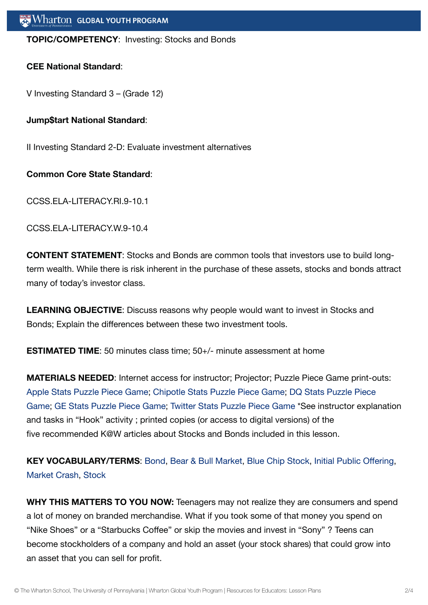#### **TOPIC/COMPETENCY**: Investing: Stocks and Bonds

#### **CEE National Standard**:

V Investing Standard 3 – (Grade 12)

#### **Jump\$tart National Standard**:

II Investing Standard 2-D: Evaluate investment alternatives

#### **Common Core State Standard**:

CCSS.ELA-LITERACY.RI.9-10.1

CCSS.ELA-LITERACY.W.9-10.4

**CONTENT STATEMENT**: Stocks and Bonds are common tools that investors use to build longterm wealth. While there is risk inherent in the purchase of these assets, stocks and bonds attract many of today's investor class.

**LEARNING OBJECTIVE**: Discuss reasons why people would want to invest in Stocks and Bonds; Explain the differences between these two investment tools.

**ESTIMATED TIME**: 50 minutes class time; 50+/- minute assessment at home

**MATERIALS NEEDED**: Internet access for instructor; Projector; Puzzle Piece Game print-outs: Apple [Stats Puzzle](https://globalyouth.wharton.upenn.edu/wp-content/uploads/2015/12/Apple-Stats-Puzzle-Piece-Game.pdf) Piece Game; Chipotle [Stats Puzzle](https://globalyouth.wharton.upenn.edu/wp-content/uploads/2015/12/Chipotle-Stats-Puzzle-Piece-Game.pdf) Piece Game; DQ [Stats Puzzle](https://globalyouth.wharton.upenn.edu/wp-content/uploads/2015/12/DQ-Stats-Puzzle-Piece-Game.pdf) Piece Game; GE [Stats Puzzle](https://globalyouth.wharton.upenn.edu/wp-content/uploads/2015/12/GE-Stats-Puzzle-Piece-Game.pdf) Piece Game; Twitter [Stats Puzzle](https://globalyouth.wharton.upenn.edu/wp-content/uploads/2015/12/Twitter-Stats-Puzzle-Piece-Game.pdf) Piece Game \*See instructor explanation and tasks in "Hook" activity ; printed copies (or access to digital versions) of the five recommended K@W articles about Stocks and Bonds included in this lesson.

**KEY VOCABULARY/TERMS**: [Bond](https://globalyouth.wharton.upenn.edu/glossary/bond/), Bear & Bull [Market](https://globalyouth.wharton.upenn.edu/glossary/bear_bull-market/), Blue Chip [Stock,](https://globalyouth.wharton.upenn.edu/glossary/blue-chip-stock/) Initial Public [Offering,](https://globalyouth.wharton.upenn.edu/glossary/initial-public-offering/) [Market](https://globalyouth.wharton.upenn.edu/glossary/market-crash/) Crash, [Stock](https://globalyouth.wharton.upenn.edu/glossary/stock/)

**WHY THIS MATTERS TO YOU NOW:** Teenagers may not realize they are consumers and spend a lot of money on branded merchandise. What if you took some of that money you spend on "Nike Shoes" or a "Starbucks Coffee" or skip the movies and invest in "Sony" ? Teens can become stockholders of a company and hold an asset (your stock shares) that could grow into an asset that you can sell for profit.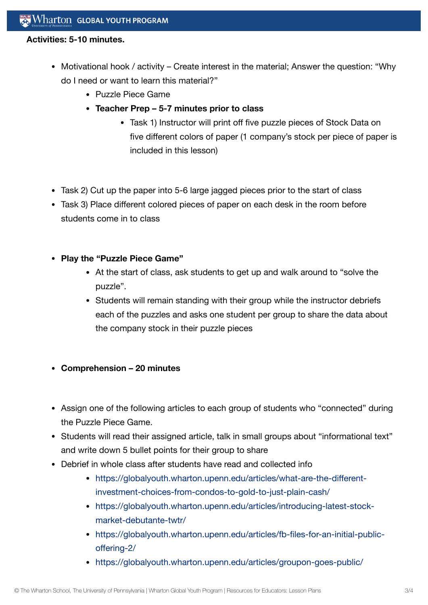#### **Activities: 5-10 minutes.**

- Motivational hook / activity Create interest in the material; Answer the question: "Why do I need or want to learn this material?"
	- Puzzle Piece Game
	- **Teacher Prep 5-7 minutes prior to class**
		- Task 1) Instructor will print off five puzzle pieces of Stock Data on five different colors of paper (1 company's stock per piece of paper is included in this lesson)
- Task 2) Cut up the paper into 5-6 large jagged pieces prior to the start of class
- Task 3) Place different colored pieces of paper on each desk in the room before students come in to class
- **Play the "Puzzle Piece Game"**
	- At the start of class, ask students to get up and walk around to "solve the puzzle".
	- Students will remain standing with their group while the instructor debriefs each of the puzzles and asks one student per group to share the data about the company stock in their puzzle pieces
- **Comprehension 20 minutes**
- Assign one of the following articles to each group of students who "connected" during the Puzzle Piece Game.
- Students will read their assigned article, talk in small groups about "informational text" and write down 5 bullet points for their group to share
- Debrief in whole class after students have read and collected info
	- [https://globalyouth.wharton.upenn.edu/articles/what-are-the-different](https://globalyouth.wharton.upenn.edu/articles/what-are-the-different-investment-choices-from-condos-to-gold-to-just-plain-cash/)investment-choices-from-condos-to-gold-to-just-plain-cash/
	- [https://globalyouth.wharton.upenn.edu/articles/introducing-latest-stock](https://globalyouth.wharton.upenn.edu/articles/introducing-latest-stock-market-debutante-twtr/)market-debutante-twtr/
	- [https://globalyouth.wharton.upenn.edu/articles/fb-files-for-an-initial-public](https://globalyouth.wharton.upenn.edu/articles/fb-files-for-an-initial-public-offering-2/)offering-2/
	- <https://globalyouth.wharton.upenn.edu/articles/groupon-goes-public/>